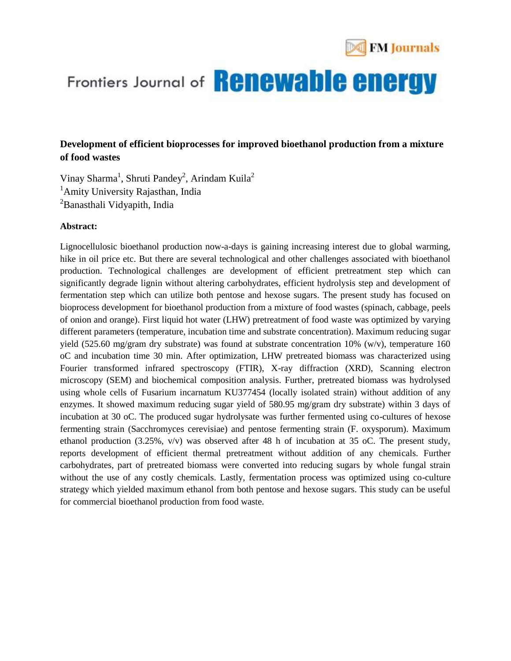

## Frontiers Journal of Renewable energy

### **Development of efficient bioprocesses for improved bioethanol production from a mixture of food wastes**

Vinay Sharma<sup>1</sup>, Shruti Pandey<sup>2</sup>, Arindam Kuila<sup>2</sup> <sup>1</sup>Amity University Rajasthan, India <sup>2</sup>Banasthali Vidyapith, India

#### **Abstract:**

Lignocellulosic bioethanol production now-a-days is gaining increasing interest due to global warming, hike in oil price etc. But there are several technological and other challenges associated with bioethanol production. Technological challenges are development of efficient pretreatment step which can significantly degrade lignin without altering carbohydrates, efficient hydrolysis step and development of fermentation step which can utilize both pentose and hexose sugars. The present study has focused on bioprocess development for bioethanol production from a mixture of food wastes (spinach, cabbage, peels of onion and orange). First liquid hot water (LHW) pretreatment of food waste was optimized by varying different parameters (temperature, incubation time and substrate concentration). Maximum reducing sugar yield (525.60 mg/gram dry substrate) was found at substrate concentration  $10\%$  (w/v), temperature 160 oC and incubation time 30 min. After optimization, LHW pretreated biomass was characterized using Fourier transformed infrared spectroscopy (FTIR), X-ray diffraction (XRD), Scanning electron microscopy (SEM) and biochemical composition analysis. Further, pretreated biomass was hydrolysed using whole cells of Fusarium incarnatum KU377454 (locally isolated strain) without addition of any enzymes. It showed maximum reducing sugar yield of 580.95 mg/gram dry substrate) within 3 days of incubation at 30 oC. The produced sugar hydrolysate was further fermented using co-cultures of hexose fermenting strain (Sacchromyces cerevisiae) and pentose fermenting strain (F. oxysporum). Maximum ethanol production (3.25%, v/v) was observed after 48 h of incubation at 35 oC. The present study, reports development of efficient thermal pretreatment without addition of any chemicals. Further carbohydrates, part of pretreated biomass were converted into reducing sugars by whole fungal strain without the use of any costly chemicals. Lastly, fermentation process was optimized using co-culture strategy which yielded maximum ethanol from both pentose and hexose sugars. This study can be useful for commercial bioethanol production from food waste.